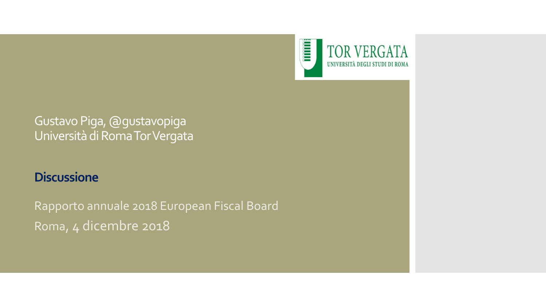

Gustavo Piga, @gustavopiga Università di Roma Tor Vergata

#### **Discussione**

Rapporto annuale 2018 European Fiscal Board Roma, 4 dicembre 2018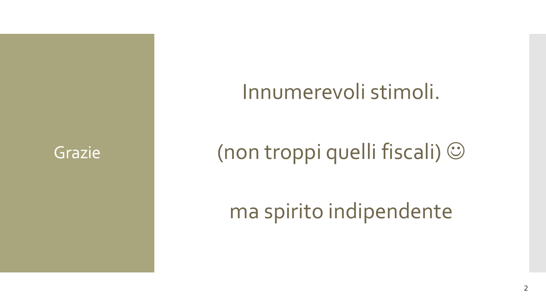

## Innumerevoli stimoli.

# (non troppi quelli fiscali)

ma spirito indipendente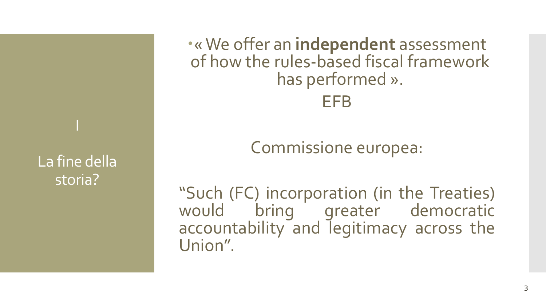La fine della storia?

I

« We offer an **independent** assessment of how the rules-based fiscal framework has performed ». EFB

Commissione europea:

"Such (FC) incorporation (in the Treaties) accountability and legitimacy across the Union".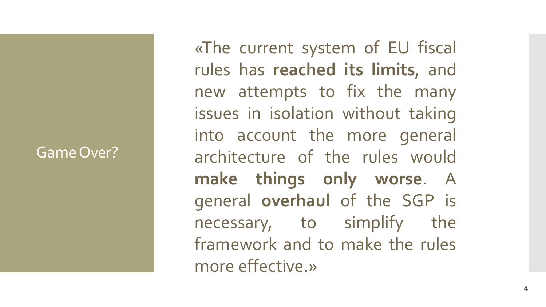«The current system of EU fiscal rules has **reached its limits** , and new attempts to fix the many issues in isolation without taking into account the more general architecture of the rules would **make things only worse** . A general **overhaul** of the SGP is necessary, to simplify the framework and to make the rules more effective . »

#### Game Over?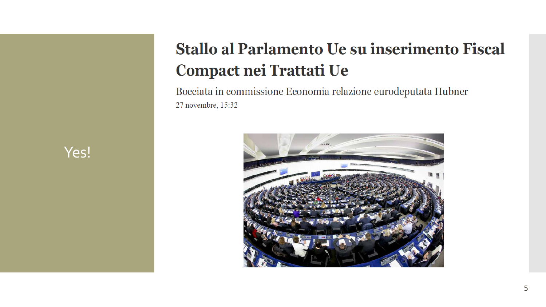Yes!

## Stallo al Parlamento Ue su inserimento Fiscal **Compact nei Trattati Ue**

Bocciata in commissione Economia relazione eurodeputata Hubner 27 novembre, 15:32

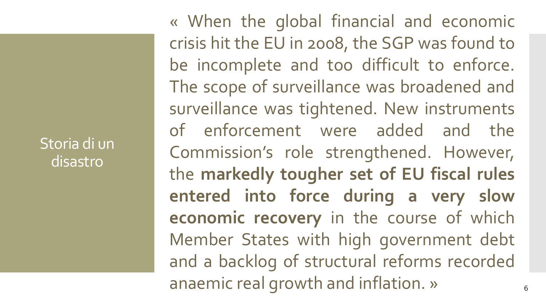Storia di un disastro

« When the global financial and economic crisis hit the EU in 2008, the SGP was found to be incomplete and too difficult to enforce. The scope of surveillance was broadened and surveillance was tightened. New instruments of enforcement were added and the Commission's role strengthened. However, the **markedly tougher set of EU fiscal rules entered into force during a very slow economic recovery** in the course of which Member States with high government debt and a backlog of structural reforms recorded anaemic real growth and inflation. »

6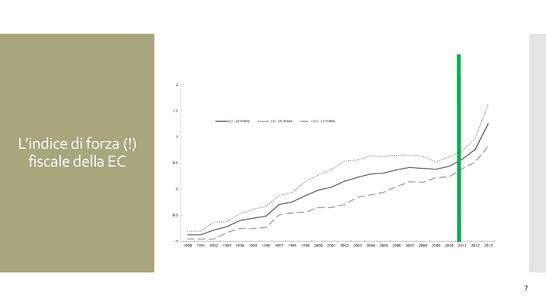## L'indice di forza (!) fiscale della EC

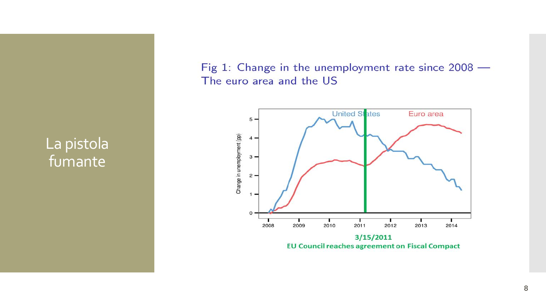La pistola fumante

Fig 1: Change in the unemployment rate since 2008 -The euro area and the US



**EU Council reaches agreement on Fiscal Compact**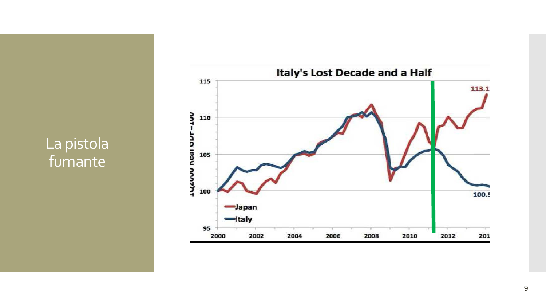La pistola fumante

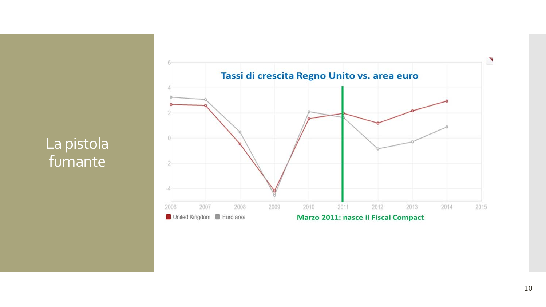### La pistola fumante

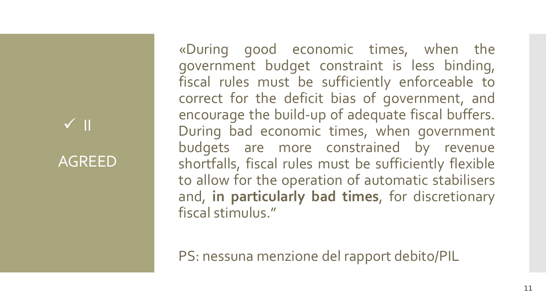# $\sqrt{||}$

#### AGREED

«During good economic times, when the government budget constraint is less binding, fiscal rules must be sufficiently enforceable to correct for the deficit bias of government, and encourage the build-up of adequate fiscal buffers. During bad economic times, when government budgets are more constrained by revenue shortfalls, fiscal rules must be sufficiently flexible to allow for the operation of automatic stabilisers and, **in particularly bad times**, for discretionary fiscal stimulus."

PS: nessuna menzione del rapport debito/PIL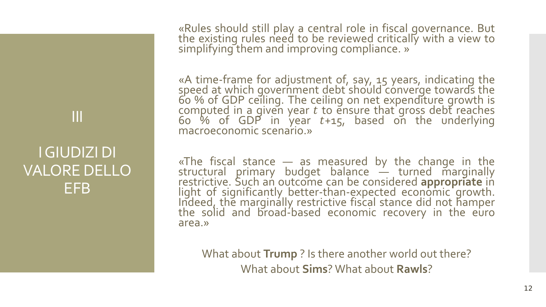#### III

## I GIUDIZI DI VALORE DELLO EFB

«Rules should still play a central role in fiscal governance. But the existing rules need to be reviewed critically with a view to simplifying them and improving compliance. »

«A time-frame for adjustment of, say, 15 years, indicating the  $s$ peed at which government debt should converge towards the 60 % of GDP ceiling. The ceiling on net expenditure growth is computed in a given year  $t$  to ensure that gross debt reaches 60 % of GDP in year *t*+15, based on the underlying<br>macroeconomic scenario.»

«The fiscal stance  $-$  as measured by the change in the structural primary budget balance — turned marginally restrictive. Such an outcome can be considered **appropriate** in light of significantly better-than-expected economic growth.<br>Indeed, the marginally restrictive fiscal stance did not hamper<br>the solid and broad-based economic recovery in the euro the solid and broad-based economic recovery in the euro

What about **Trump** ? Is there another world out there? What about **Sims**? What about **Rawls**?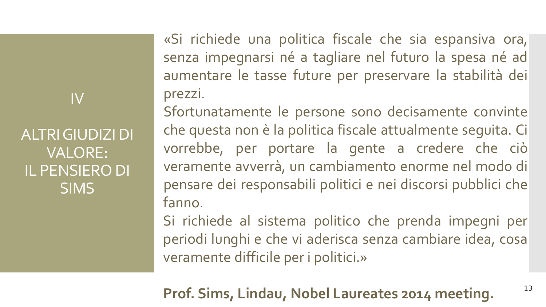#### IV

ALTRI GIUDIZI DI VALORE: IL PENSIERO DI SIMS

«Si richiede una politica fiscale che sia espansiva ora, senza impegnarsi né a tagliare nel futuro la spesa né ad aumentare le tasse future per preservare la stabilità dei prezzi.

Sfortunatamente le persone sono decisamente convinte che questa non è la politica fiscale attualmente seguita. Ci vorrebbe, per portare la gente a credere che ciò veramente avverrà, un cambiamento enorme nel modo di pensare dei responsabili politici e nei discorsi pubblici che fanno.

Si richiede al sistema politico che prenda impegni per periodi lunghi e che vi aderisca senza cambiare idea, cosa veramente difficile per i politici.»

**Prof. Sims, Lindau, Nobel Laureates 2014 meeting.**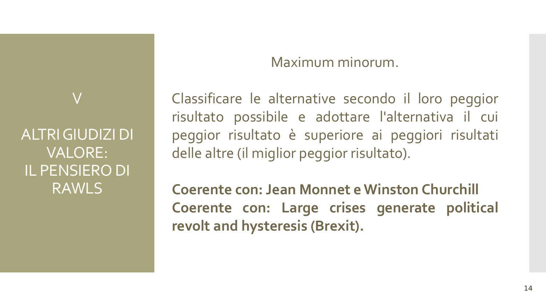## ALTRI GIUDIZI DI VALORE: IL PENSIERO DI RAWLS

V

#### Maximum minorum.

Classificare le alternative secondo il loro peggior risultato possibile e adottare l'alternativa il cui peggior risultato è superiore ai peggiori risultati delle altre (il miglior peggior risultato).

**Coerente con: Jean Monnet e Winston Churchill Coerente con: Large crises generate political revolt and hysteresis (Brexit).**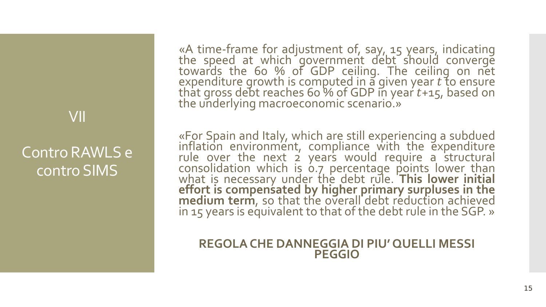#### VII

### Contro RAWLS e contro SIMS

«A time-frame for adjustment of, say, 15 years, indicating<br>the speed at which government debt should converge<br>towards the 60 % of GDP ceiling. The ceiling on net expenditure growth is computed in a given year  $t$  to ensure that gross debt reaches 60 % of GDP in year t+15, based on<br>the underlying magreeage mais seenario... the underlying macroeconomic scenario.»

«For Spain and Italy, which are still experiencing a subdued inflation environment, compliance with the expenditure<br>rule over the next 2 years would require a structural consolidation which is 6.7 percentage points lower than what is necessary under the debt rule. **This lower initial effort is compensated by higher primary surpluses in the medium term**, so that the overall debt reduction achieved in 15 years is equivalent to that of the debt rule in the SGP. »

#### **REGOLA CHE DANNEGGIA DI PIU' QUELLI MESSI PEGGIO**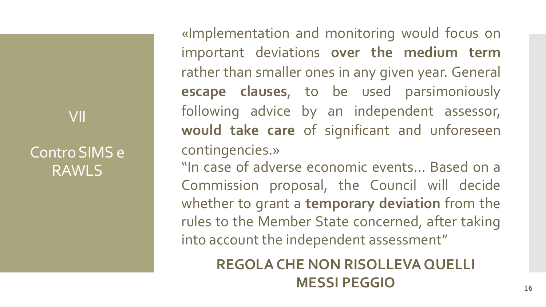#### VII

Contro SIMS e RAWLS

«Implementation and monitoring would focus on important deviations **over the medium term** rather than smaller ones in any given year. General **escape clauses**, to be used parsimoniously following advice by an independent assessor, **would take care** of significant and unforeseen contingencies.»

"In case of adverse economic events… Based on a Commission proposal, the Council will decide whether to grant a **temporary deviation** from the rules to the Member State concerned, after taking into account the independent assessment"

### **REGOLA CHE NON RISOLLEVA QUELLI MESSI PEGGIO**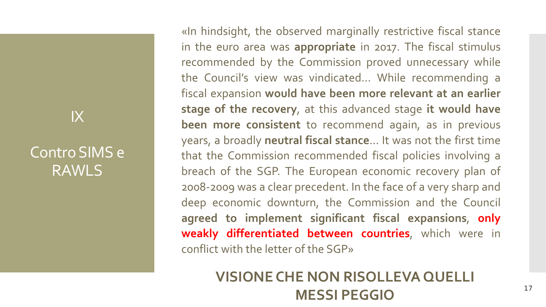### $IX$

### Contro SIMS e RAWLS

«In hindsight, the observed marginally restrictive fiscal stance in the euro area was **appropriate** in 2017. The fiscal stimulus recommended by the Commission proved unnecessary while the Council's view was vindicated… While recommending a fiscal expansion **would have been more relevant at an earlier stage of the recovery**, at this advanced stage **it would have been more consistent** to recommend again, as in previous years, a broadly **neutral fiscal stance**… It was not the first time that the Commission recommended fiscal policies involving a breach of the SGP. The European economic recovery plan of 2008-2009 was a clear precedent. In the face of a very sharp and deep economic downturn, the Commission and the Council **agreed to implement significant fiscal expansions**, **only weakly differentiated between countries**, which were in conflict with the letter of the SGP»

#### **VISIONE CHE NON RISOLLEVA QUELLI MESSI PEGGIO**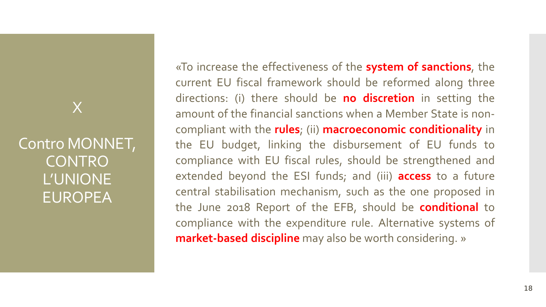## Contro MONNET, CONTRO L'UNIONE EUROPEA

X

«To increase the effectiveness of the **system of sanctions**, the current EU fiscal framework should be reformed along three directions: (i) there should be **no discretion** in setting the amount of the financial sanctions when a Member State is noncompliant with the **rules**; (ii) **macroeconomic conditionality** in the EU budget, linking the disbursement of EU funds to compliance with EU fiscal rules, should be strengthened and extended beyond the ESI funds; and (iii) **access** to a future central stabilisation mechanism, such as the one proposed in the June 2018 Report of the EFB, should be **conditional** to compliance with the expenditure rule. Alternative systems of **market-based discipline** may also be worth considering. »